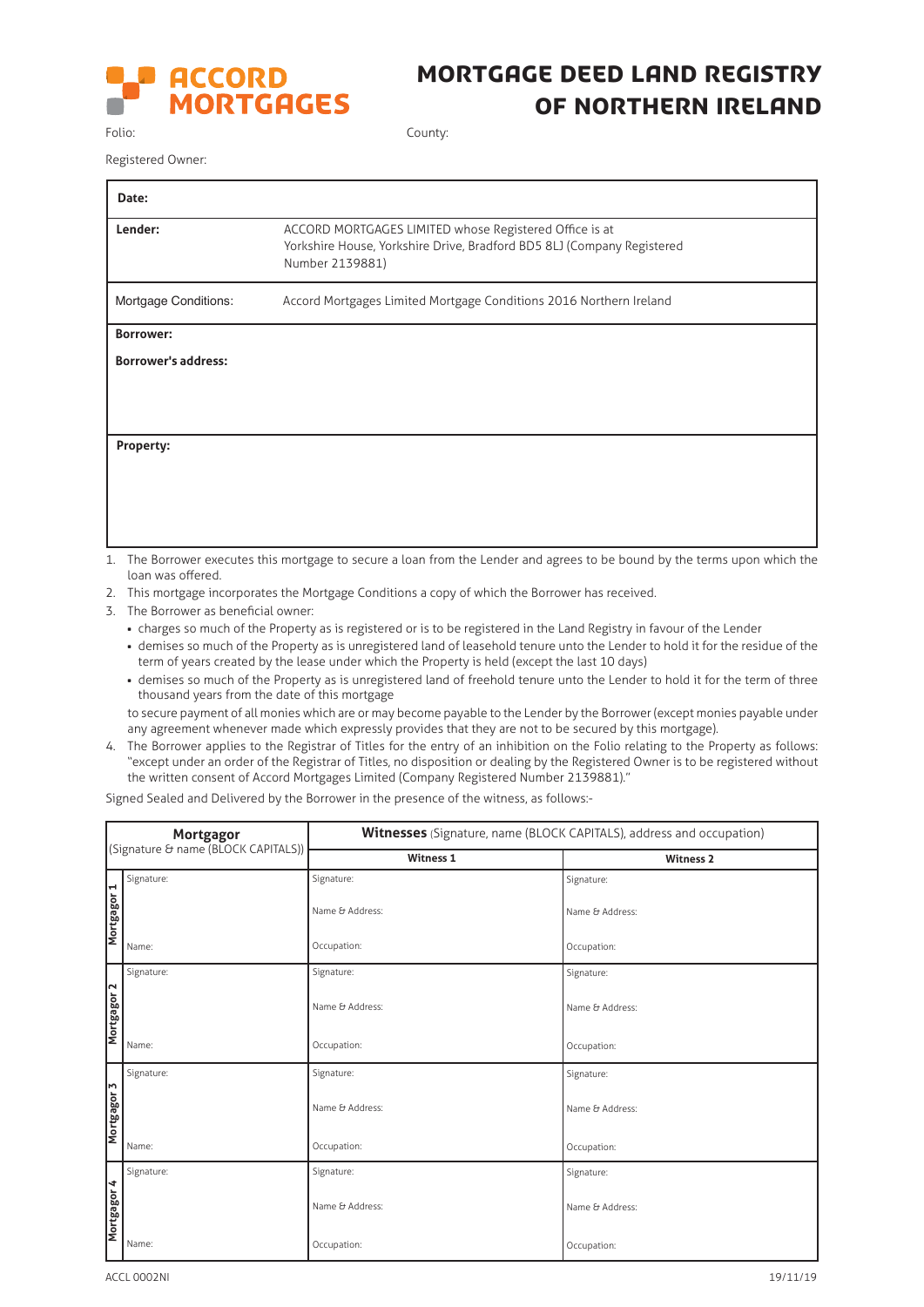

## MORTGAGE DEED LAND REGISTRY OF NORTHERN IRELAND

Folio: County:

Registered Owner:

| Date:                      |                                                                                                                                                     |  |
|----------------------------|-----------------------------------------------------------------------------------------------------------------------------------------------------|--|
| Lender:                    | ACCORD MORTGAGES LIMITED whose Registered Office is at<br>Yorkshire House, Yorkshire Drive, Bradford BD5 8LJ (Company Registered<br>Number 2139881) |  |
| Mortgage Conditions:       | Accord Mortgages Limited Mortgage Conditions 2016 Northern Ireland                                                                                  |  |
| <b>Borrower:</b>           |                                                                                                                                                     |  |
| <b>Borrower's address:</b> |                                                                                                                                                     |  |
|                            |                                                                                                                                                     |  |
| Property:                  |                                                                                                                                                     |  |
|                            |                                                                                                                                                     |  |
|                            |                                                                                                                                                     |  |
|                            |                                                                                                                                                     |  |

1. The Borrower executes this mortgage to secure a loan from the Lender and agrees to be bound by the terms upon which the loan was offered.

2. This mortgage incorporates the Mortgage Conditions a copy of which the Borrower has received.

- 3. The Borrower as beneficial owner:
	- charges so much of the Property as is registered or is to be registered in the Land Registry in favour of the Lender
	- demises so much of the Property as is unregistered land of leasehold tenure unto the Lender to hold it for the residue of the term of years created by the lease under which the Property is held (except the last 10 days)
	- demises so much of the Property as is unregistered land of freehold tenure unto the Lender to hold it for the term of three thousand years from the date of this mortgage

 to secure payment of all monies which are or may become payable to the Lender by the Borrower (except monies payable under any agreement whenever made which expressly provides that they are not to be secured by this mortgage).

4. The Borrower applies to the Registrar of Titles for the entry of an inhibition on the Folio relating to the Property as follows: "except under an order of the Registrar of Titles, no disposition or dealing by the Registered Owner is to be registered without the written consent of Accord Mortgages Limited (Company Registered Number 2139881)."

Signed Sealed and Delivered by the Borrower in the presence of the witness, as follows:-

| Mortgagor<br>(Signature & name (BLOCK CAPITALS)) |            | Witnesses (Signature, name (BLOCK CAPITALS), address and occupation) |                  |  |
|--------------------------------------------------|------------|----------------------------------------------------------------------|------------------|--|
|                                                  |            | <b>Witness 1</b>                                                     | <b>Witness 2</b> |  |
|                                                  | Signature: | Signature:                                                           | Signature:       |  |
| Mortgagor 1                                      |            | Name & Address:                                                      | Name & Address:  |  |
|                                                  | Name:      | Occupation:                                                          | Occupation:      |  |
|                                                  | Signature: | Signature:                                                           | Signature:       |  |
| Mortgagor <sub>2</sub>                           |            | Name & Address:                                                      | Name & Address:  |  |
|                                                  | Name:      | Occupation:                                                          | Occupation:      |  |
|                                                  | Signature: | Signature:                                                           | Signature:       |  |
| Mortgagor 3                                      |            | Name & Address:                                                      | Name & Address:  |  |
|                                                  | Name:      | Occupation:                                                          | Occupation:      |  |
|                                                  | Signature: | Signature:                                                           | Signature:       |  |
| Mortgagor 4                                      |            | Name & Address:                                                      | Name & Address:  |  |
|                                                  | Name:      | Occupation:                                                          | Occupation:      |  |